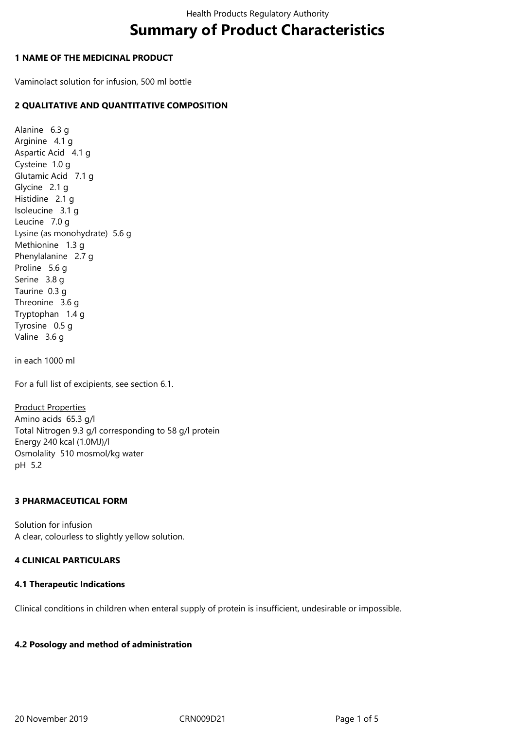# **Summary of Product Characteristics**

## **1 NAME OF THE MEDICINAL PRODUCT**

Vaminolact solution for infusion, 500 ml bottle

## **2 QUALITATIVE AND QUANTITATIVE COMPOSITION**

Alanine 6.3 g Arginine 4.1 g Aspartic Acid 4.1 g Cysteine 1.0 g Glutamic Acid 7.1 g Glycine 2.1 g Histidine 2.1 g Isoleucine 3.1 g Leucine 7.0 g Lysine (as monohydrate) 5.6 g Methionine 1.3 g Phenylalanine 2.7 g Proline 5.6 g Serine 3.8 q Taurine 0.3 g Threonine 3.6 g Tryptophan 1.4 g Tyrosine 0.5 g Valine 3.6 g

in each 1000 ml

For a full list of excipients, see section 6.1.

Product Properties Amino acids 65.3 g/l Total Nitrogen 9.3 g/l corresponding to 58 g/l protein Energy 240 kcal (1.0MJ)/l Osmolality 510 mosmol/kg water pH 5.2

## **3 PHARMACEUTICAL FORM**

Solution for infusion A clear, colourless to slightly yellow solution.

## **4 CLINICAL PARTICULARS**

## **4.1 Therapeutic Indications**

Clinical conditions in children when enteral supply of protein is insufficient, undesirable or impossible.

## **4.2 Posology and method of administration**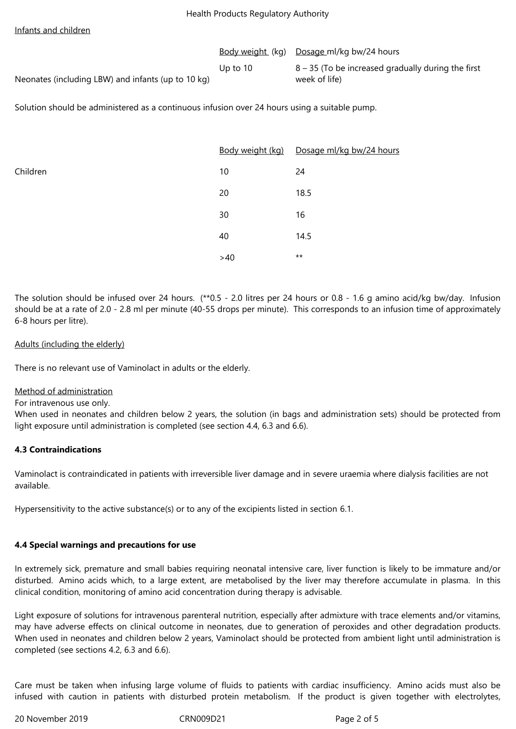#### Infants and children

|                                                    |             | Body weight (kg) Dosage ml/kg bw/24 hours            |
|----------------------------------------------------|-------------|------------------------------------------------------|
|                                                    | Up to $101$ | $8 - 35$ (To be increased gradually during the first |
| Neonates (including LBW) and infants (up to 10 kg) |             | week of life)                                        |

Solution should be administered as a continuous infusion over 24 hours using a suitable pump.

|          |     | Body weight (kg) Dosage ml/kg bw/24 hours |
|----------|-----|-------------------------------------------|
| Children | 10  | 24                                        |
|          | 20  | 18.5                                      |
|          | 30  | 16                                        |
|          | 40  | 14.5                                      |
|          | >40 | $***$                                     |

The solution should be infused over 24 hours. (\*\*0.5 - 2.0 litres per 24 hours or 0.8 - 1.6 g amino acid/kg bw/day. Infusion should be at a rate of 2.0 - 2.8 ml per minute (40-55 drops per minute). This corresponds to an infusion time of approximately 6-8 hours per litre).

## Adults (including the elderly)

There is no relevant use of Vaminolact in adults or the elderly.

#### Method of administration

For intravenous use only.

When used in neonates and children below 2 years, the solution (in bags and administration sets) should be protected from light exposure until administration is completed (see section 4.4, 6.3 and 6.6).

## **4.3 Contraindications**

Vaminolact is contraindicated in patients with irreversible liver damage and in severe uraemia where dialysis facilities are not available.

Hypersensitivity to the active substance(s) or to any of the excipients listed in section 6.1.

## **4.4 Special warnings and precautions for use**

In extremely sick, premature and small babies requiring neonatal intensive care, liver function is likely to be immature and/or disturbed. Amino acids which, to a large extent, are metabolised by the liver may therefore accumulate in plasma. In this clinical condition, monitoring of amino acid concentration during therapy is advisable.

Light exposure of solutions for intravenous parenteral nutrition, especially after admixture with trace elements and/or vitamins, may have adverse effects on clinical outcome in neonates, due to generation of peroxides and other degradation products. When used in neonates and children below 2 years, Vaminolact should be protected from ambient light until administration is completed (see sections 4.2, 6.3 and 6.6).

Care must be taken when infusing large volume of fluids to patients with cardiac insufficiency. Amino acids must also be infused with caution in patients with disturbed protein metabolism. If the product is given together with electrolytes,

20 November 2019 CRN009D21 Page 2 of 5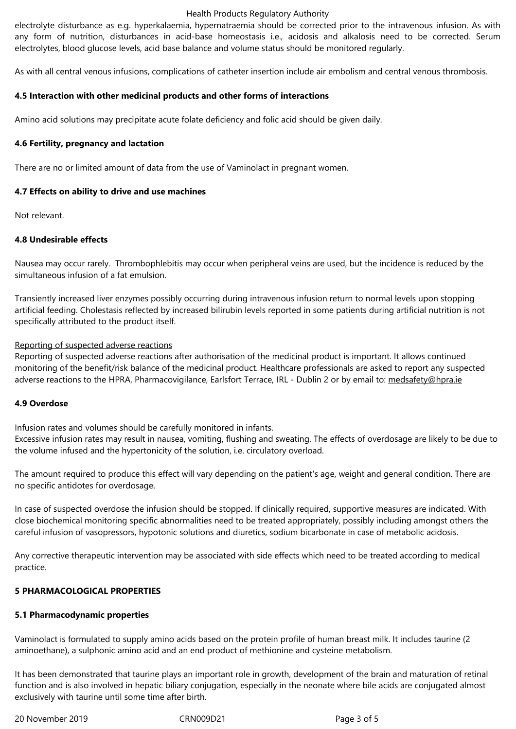electrolytes, blood glucose levels, acid base balance and volume status should be monitored regularly.

As with all central venous infusions, complications of catheter insertion include air embolism and central venous thrombosis.

## **4.5 Interaction with other medicinal products and other forms of interactions**

Amino acid solutions may precipitate acute folate deficiency and folic acid should be given daily.

#### **4.6 Fertility, pregnancy and lactation**

There are no or limited amount of data from the use of Vaminolact in pregnant women.

#### **4.7 Effects on ability to drive and use machines**

Not relevant.

#### **4.8 Undesirable effects**

Nausea may occur rarely. Thrombophlebitis may occur when peripheral veins are used, but the incidence is reduced by the simultaneous infusion of a fat emulsion.

Transiently increased liver enzymes possibly occurring during intravenous infusion return to normal levels upon stopping artificial feeding. Cholestasis reflected by increased bilirubin levels reported in some patients during artificial nutrition is not specifically attributed to the product itself.

#### Reporting of suspected adverse reactions

Reporting of suspected adverse reactions after authorisation of the medicinal product is important. It allows continued monitoring of the benefit/risk balance of the medicinal product. Healthcare professionals are asked to report any suspected adverse reactions to the HPRA, Pharmacovigilance, Earlsfort Terrace, IRL - Dublin 2 or by email to: medsafety@hpra.ie

#### **4.9 Overdose**

Infusion rates and volumes should be carefully monitored in infants. Excessive infusion rates may result in nausea, vomiting, flushing and sweating. The effects of overdosage are likely to be due to the volume infused and the hypertonicity of the solution, i.e. circulatory overload.

The amount required to produce this effect will vary depending on the patient's age, weight and general condition. There are no specific antidotes for overdosage.

In case of suspected overdose the infusion should be stopped. If clinically required, supportive measures are indicated. With close biochemical monitoring specific abnormalities need to be treated appropriately, possibly including amongst others the careful infusion of vasopressors, hypotonic solutions and diuretics, sodium bicarbonate in case of metabolic acidosis.

Any corrective therapeutic intervention may be associated with side effects which need to be treated according to medical practice.

## **5 PHARMACOLOGICAL PROPERTIES**

## **5.1 Pharmacodynamic properties**

Vaminolact is formulated to supply amino acids based on the protein profile of human breast milk. It includes taurine (2 aminoethane), a sulphonic amino acid and an end product of methionine and cysteine metabolism.

It has been demonstrated that taurine plays an important role in growth, development of the brain and maturation of retinal function and is also involved in hepatic biliary conjugation, especially in the neonate where bile acids are conjugated almost exclusively with taurine until some time after birth.

20 November 2019 CRN009D21 Page 3 of 5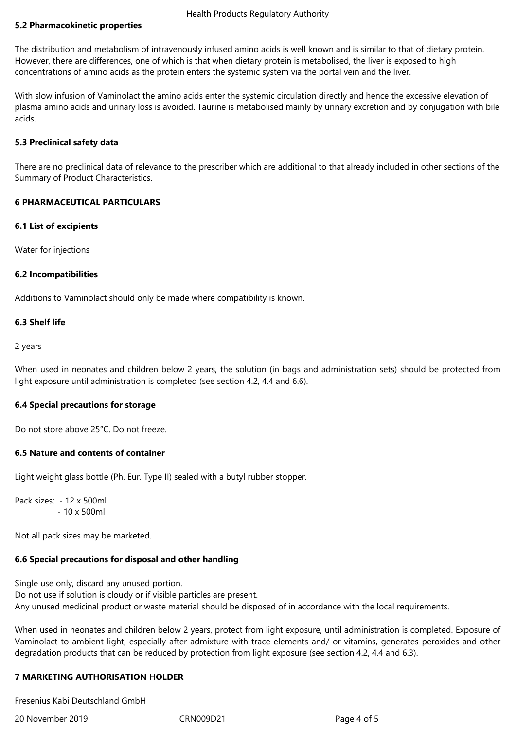## **5.2 Pharmacokinetic properties**

The distribution and metabolism of intravenously infused amino acids is well known and is similar to that of dietary protein. However, there are differences, one of which is that when dietary protein is metabolised, the liver is exposed to high concentrations of amino acids as the protein enters the systemic system via the portal vein and the liver.

With slow infusion of Vaminolact the amino acids enter the systemic circulation directly and hence the excessive elevation of plasma amino acids and urinary loss is avoided. Taurine is metabolised mainly by urinary excretion and by conjugation with bile acids.

## **5.3 Preclinical safety data**

There are no preclinical data of relevance to the prescriber which are additional to that already included in other sections of the Summary of Product Characteristics.

#### **6 PHARMACEUTICAL PARTICULARS**

#### **6.1 List of excipients**

Water for injections

#### **6.2 Incompatibilities**

Additions to Vaminolact should only be made where compatibility is known.

## **6.3 Shelf life**

2 years

When used in neonates and children below 2 years, the solution (in bags and administration sets) should be protected from light exposure until administration is completed (see section 4.2, 4.4 and 6.6).

## **6.4 Special precautions for storage**

Do not store above 25°C. Do not freeze.

## **6.5 Nature and contents of container**

Light weight glass bottle (Ph. Eur. Type II) sealed with a butyl rubber stopper.

Pack sizes: - 12 x 500ml - 10 x 500ml

Not all pack sizes may be marketed.

## **6.6 Special precautions for disposal and other handling**

Single use only, discard any unused portion. Do not use if solution is cloudy or if visible particles are present. Any unused medicinal product or waste material should be disposed of in accordance with the local requirements.

When used in neonates and children below 2 years, protect from light exposure, until administration is completed. Exposure of Vaminolact to ambient light, especially after admixture with trace elements and/ or vitamins, generates peroxides and other degradation products that can be reduced by protection from light exposure (see section 4.2, 4.4 and 6.3).

## **7 MARKETING AUTHORISATION HOLDER**

Fresenius Kabi Deutschland GmbH

20 November 2019 CRN009D21 Page 4 of 5